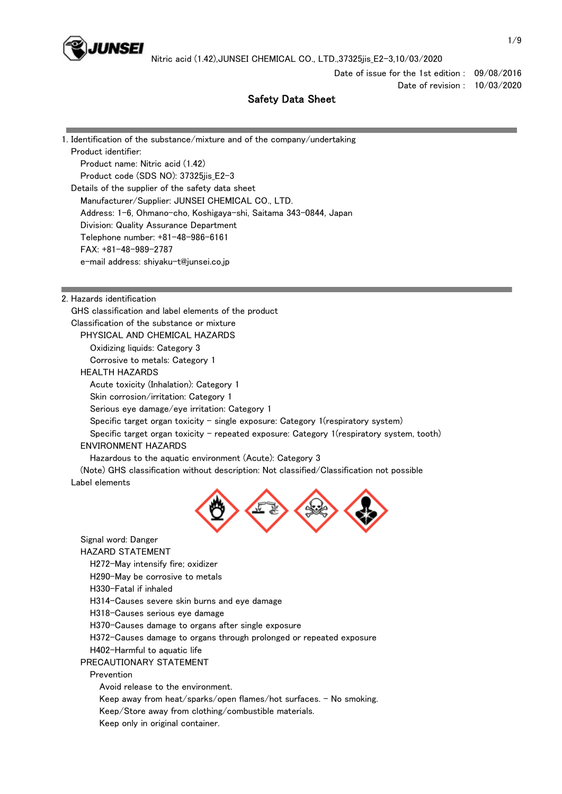

Date of issue for the 1st edition : 09/08/2016 Date of revision : 10/03/2020

# Safety Data Sheet

1. Identification of the substance/mixture and of the company/undertaking Product identifier: Product name: Nitric acid (1.42) Product code (SDS NO): 37325jis\_E2-3 Details of the supplier of the safety data sheet Manufacturer/Supplier: JUNSEI CHEMICAL CO., LTD. Address: 1-6, Ohmano-cho, Koshigaya-shi, Saitama 343-0844, Japan Division: Quality Assurance Department Telephone number: +81-48-986-6161 FAX: +81-48-989-2787 e-mail address: shiyaku-t@junsei.co.jp 2. Hazards identification GHS classification and label elements of the product Classification of the substance or mixture PHYSICAL AND CHEMICAL HAZARDS Oxidizing liquids: Category 3 Corrosive to metals: Category 1 HEALTH HAZARDS Acute toxicity (Inhalation): Category 1 Skin corrosion/irritation: Category 1 Serious eye damage/eye irritation: Category 1 Specific target organ toxicity - single exposure: Category  $1$ (respiratory system) Specific target organ toxicity - repeated exposure: Category 1(respiratory system, tooth) ENVIRONMENT HAZARDS Hazardous to the aquatic environment (Acute): Category 3 (Note) GHS classification without description: Not classified/Classification not possible Label elements Signal word: Danger HAZARD STATEMENT H272-May intensify fire; oxidizer H290-May be corrosive to metals H330-Fatal if inhaled H314-Causes severe skin burns and eye damage H318-Causes serious eye damage H370-Causes damage to organs after single exposure H372-Causes damage to organs through prolonged or repeated exposure H402-Harmful to aquatic life PRECAUTIONARY STATEMENT Prevention Avoid release to the environment. Keep away from heat/sparks/open flames/hot surfaces. - No smoking.

Keep/Store away from clothing/combustible materials.

Keep only in original container.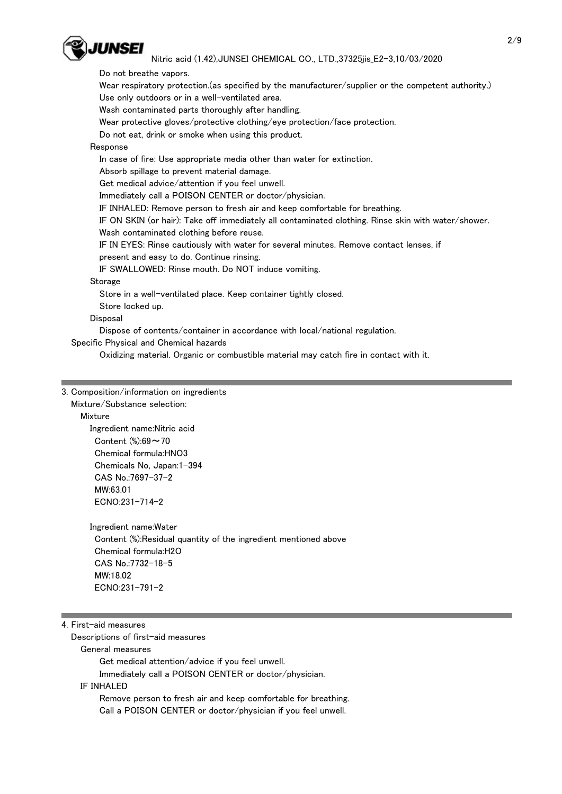

 Do not breathe vapors. Wear respiratory protection.(as specified by the manufacturer/supplier or the competent authority.) Use only outdoors or in a well-ventilated area. Wash contaminated parts thoroughly after handling. Wear protective gloves/protective clothing/eye protection/face protection. Do not eat, drink or smoke when using this product. Response In case of fire: Use appropriate media other than water for extinction. Absorb spillage to prevent material damage. Get medical advice/attention if you feel unwell. Immediately call a POISON CENTER or doctor/physician. IF INHALED: Remove person to fresh air and keep comfortable for breathing. IF ON SKIN (or hair): Take off immediately all contaminated clothing. Rinse skin with water/shower. Wash contaminated clothing before reuse. IF IN EYES: Rinse cautiously with water for several minutes. Remove contact lenses, if present and easy to do. Continue rinsing. IF SWALLOWED: Rinse mouth. Do NOT induce vomiting. Storage Store in a well-ventilated place. Keep container tightly closed. Store locked up. Disposal Dispose of contents/container in accordance with local/national regulation. Specific Physical and Chemical hazards

Oxidizing material. Organic or combustible material may catch fire in contact with it.

### 3. Composition/information on ingredients

Mixture/Substance selection:

Mixture

 Ingredient name:Nitric acid Content (%):69~70 Chemical formula:HNO3 Chemicals No, Japan:1-394 CAS No.:7697-37-2 MW:63.01 ECNO:231-714-2

 Ingredient name:Water Content (%):Residual quantity of the ingredient mentioned above Chemical formula:H2O CAS No.:7732-18-5 MW:18.02 ECNO:231-791-2

## 4. First-aid measures

Descriptions of first-aid measures

General measures

Get medical attention/advice if you feel unwell.

Immediately call a POISON CENTER or doctor/physician.

### IF INHALED

 Remove person to fresh air and keep comfortable for breathing. Call a POISON CENTER or doctor/physician if you feel unwell.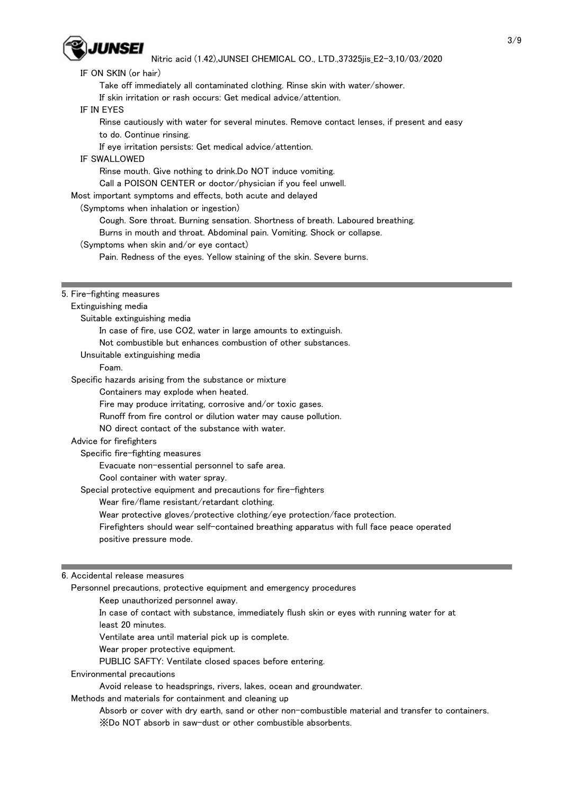

| IF ON SKIN (or hair)                                                                        |
|---------------------------------------------------------------------------------------------|
| Take off immediately all contaminated clothing. Rinse skin with water/shower.               |
| If skin irritation or rash occurs: Get medical advice/attention.                            |
| IF IN EYES                                                                                  |
| Rinse cautiously with water for several minutes. Remove contact lenses, if present and easy |
| to do. Continue rinsing.                                                                    |
| If eye irritation persists: Get medical advice/attention.                                   |
| IF SWALLOWED                                                                                |
| Rinse mouth. Give nothing to drink.Do NOT induce vomiting.                                  |
| Call a POISON CENTER or doctor/physician if you feel unwell.                                |
| Most important symptoms and effects, both acute and delayed                                 |
| (Symptoms when inhalation or ingestion)                                                     |
| Cough. Sore throat. Burning sensation. Shortness of breath. Laboured breathing.             |
|                                                                                             |
| Burns in mouth and throat. Abdominal pain. Vomiting. Shock or collapse.                     |
| (Symptoms when skin and/or eye contact)                                                     |
| Pain. Redness of the eyes. Yellow staining of the skin. Severe burns.                       |
|                                                                                             |
| 5. Fire-fighting measures                                                                   |
| Extinguishing media                                                                         |
|                                                                                             |
| Suitable extinguishing media                                                                |
| In case of fire, use CO2, water in large amounts to extinguish.                             |
| Not combustible but enhances combustion of other substances.                                |
| Unsuitable extinguishing media                                                              |
| Foam.                                                                                       |
| Specific hazards arising from the substance or mixture                                      |
| Containers may explode when heated.                                                         |
| Fire may produce irritating, corrosive and/or toxic gases.                                  |
| Runoff from fire control or dilution water may cause pollution.                             |
| NO direct contact of the substance with water.                                              |
| Advice for firefighters                                                                     |
| Specific fire-fighting measures                                                             |
| Evacuate non-essential personnel to safe area.                                              |
| Cool container with water spray.                                                            |
| Special protective equipment and precautions for fire-fighters                              |
| Wear fire/flame resistant/retardant clothing.                                               |
| Wear protective gloves/protective clothing/eye protection/face protection.                  |
| Firefighters should wear self-contained breathing apparatus with full face peace operated   |
| positive pressure mode.                                                                     |
|                                                                                             |
|                                                                                             |
| 6. Accidental release measures                                                              |
| Personnel precautions, protective equipment and emergency procedures                        |
|                                                                                             |

Keep unauthorized personnel away.

 In case of contact with substance, immediately flush skin or eyes with running water for at least 20 minutes.

Ventilate area until material pick up is complete.

Wear proper protective equipment.

PUBLIC SAFTY: Ventilate closed spaces before entering.

#### Environmental precautions

Avoid release to headsprings, rivers, lakes, ocean and groundwater.

Methods and materials for containment and cleaning up

 Absorb or cover with dry earth, sand or other non-combustible material and transfer to containers. ※Do NOT absorb in saw-dust or other combustible absorbents.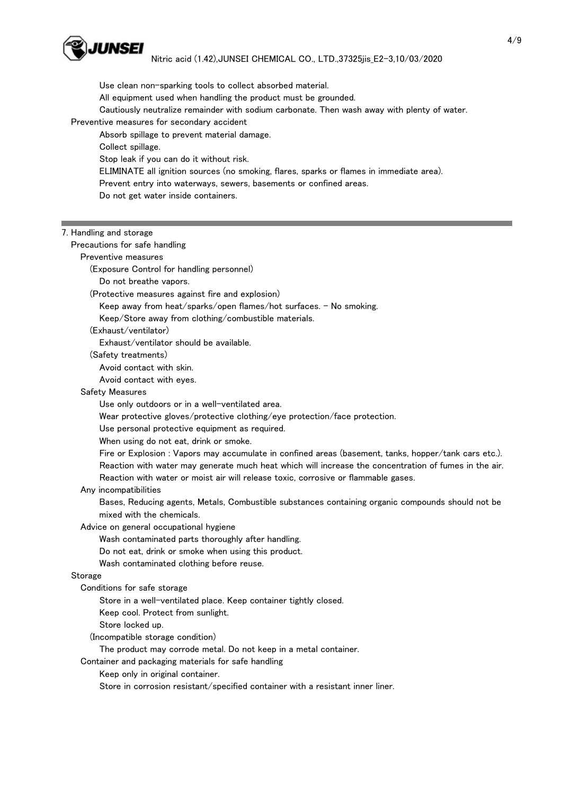

 Use clean non-sparking tools to collect absorbed material. All equipment used when handling the product must be grounded. Cautiously neutralize remainder with sodium carbonate. Then wash away with plenty of water. Preventive measures for secondary accident Absorb spillage to prevent material damage. Collect spillage. Stop leak if you can do it without risk.

ELIMINATE all ignition sources (no smoking, flares, sparks or flames in immediate area).

Prevent entry into waterways, sewers, basements or confined areas.

Do not get water inside containers.

### 7. Handling and storage

Precautions for safe handling

Preventive measures

(Exposure Control for handling personnel)

Do not breathe vapors.

(Protective measures against fire and explosion)

Keep away from heat/sparks/open flames/hot surfaces. - No smoking.

Keep/Store away from clothing/combustible materials.

(Exhaust/ventilator)

Exhaust/ventilator should be available.

(Safety treatments)

Avoid contact with skin.

Avoid contact with eyes.

### Safety Measures

Use only outdoors or in a well-ventilated area.

Wear protective gloves/protective clothing/eye protection/face protection.

Use personal protective equipment as required.

When using do not eat, drink or smoke.

 Fire or Explosion : Vapors may accumulate in confined areas (basement, tanks, hopper/tank cars etc.). Reaction with water may generate much heat which will increase the concentration of fumes in the air. Reaction with water or moist air will release toxic, corrosive or flammable gases.

Any incompatibilities

 Bases, Reducing agents, Metals, Combustible substances containing organic compounds should not be mixed with the chemicals.

Advice on general occupational hygiene

Wash contaminated parts thoroughly after handling.

Do not eat, drink or smoke when using this product.

Wash contaminated clothing before reuse.

### **Storage**

Conditions for safe storage

Store in a well-ventilated place. Keep container tightly closed.

Keep cool. Protect from sunlight.

Store locked up.

(Incompatible storage condition)

The product may corrode metal. Do not keep in a metal container.

Container and packaging materials for safe handling

Keep only in original container.

Store in corrosion resistant/specified container with a resistant inner liner.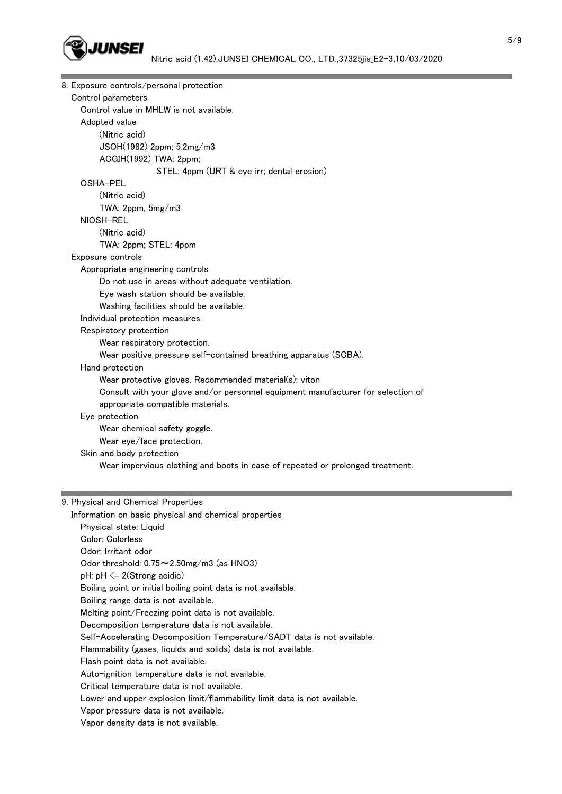

|                    | 8. Exposure controls/personal protection                                         |
|--------------------|----------------------------------------------------------------------------------|
| Control parameters |                                                                                  |
|                    | Control value in MHLW is not available.                                          |
| Adopted value      |                                                                                  |
|                    | (Nitric acid)                                                                    |
|                    | JSOH(1982) 2ppm; 5.2mg/m3                                                        |
|                    | ACGIH(1992) TWA: 2ppm;                                                           |
|                    | STEL: 4ppm (URT & eye irr; dental erosion)                                       |
| OSHA-PEL           |                                                                                  |
|                    | (Nitric acid)                                                                    |
|                    | TWA: 2ppm, 5mg/m3                                                                |
| NIOSH-REL          |                                                                                  |
|                    | (Nitric acid)                                                                    |
|                    | TWA: 2ppm; STEL: 4ppm                                                            |
| Exposure controls  |                                                                                  |
|                    | Appropriate engineering controls                                                 |
|                    | Do not use in areas without adequate ventilation.                                |
|                    | Eye wash station should be available.                                            |
|                    | Washing facilities should be available.                                          |
|                    | Individual protection measures                                                   |
|                    | Respiratory protection                                                           |
|                    | Wear respiratory protection.                                                     |
|                    | Wear positive pressure self-contained breathing apparatus (SCBA).                |
| Hand protection    |                                                                                  |
|                    | Wear protective gloves. Recommended material(s): viton                           |
|                    | Consult with your glove and/or personnel equipment manufacturer for selection of |
|                    | appropriate compatible materials.                                                |
| Eye protection     |                                                                                  |
|                    | Wear chemical safety goggle.                                                     |
|                    | Wear eye/face protection.                                                        |
|                    | Skin and body protection                                                         |
|                    | Wear impervious clothing and boots in case of repeated or prolonged treatment.   |
|                    |                                                                                  |
|                    | 9. Physical and Chemical Properties                                              |
|                    | Information on basic physical and chemical properties                            |

 Physical state: Liquid Color: Colorless Odor: Irritant odor Odor threshold: 0.75~2.50mg/m3 (as HNO3) pH: pH <= 2(Strong acidic) Boiling point or initial boiling point data is not available. Boiling range data is not available. Melting point/Freezing point data is not available. Decomposition temperature data is not available. Self-Accelerating Decomposition Temperature/SADT data is not available. Flammability (gases, liquids and solids) data is not available. Flash point data is not available. Auto-ignition temperature data is not available. Critical temperature data is not available. Lower and upper explosion limit/flammability limit data is not available.

- Vapor pressure data is not available.
- Vapor density data is not available.

and the control of the control of the control of the control of the control of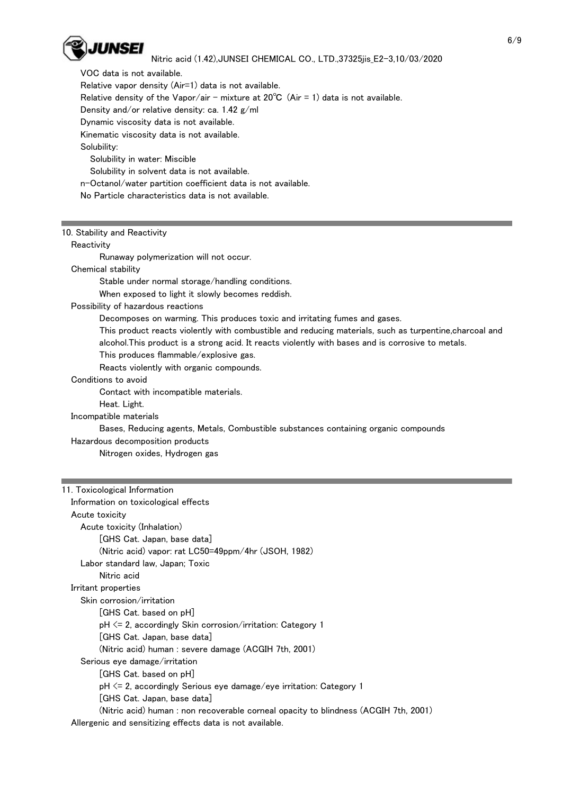

 VOC data is not available. Relative vapor density (Air=1) data is not available. Relative density of the Vapor/air - mixture at  $20^{\circ}C$  (Air = 1) data is not available. Density and/or relative density: ca. 1.42 g/ml Dynamic viscosity data is not available. Kinematic viscosity data is not available. Solubility: Solubility in water: Miscible Solubility in solvent data is not available. n-Octanol/water partition coefficient data is not available.

No Particle characteristics data is not available.

### 10. Stability and Reactivity

#### **Reactivity**

Runaway polymerization will not occur.

Chemical stability

Stable under normal storage/handling conditions.

When exposed to light it slowly becomes reddish.

## Possibility of hazardous reactions

Decomposes on warming. This produces toxic and irritating fumes and gases.

 This product reacts violently with combustible and reducing materials, such as turpentine,charcoal and alcohol.This product is a strong acid. It reacts violently with bases and is corrosive to metals.

This produces flammable/explosive gas.

Reacts violently with organic compounds.

## Conditions to avoid

Contact with incompatible materials.

Heat. Light.

### Incompatible materials

Bases, Reducing agents, Metals, Combustible substances containing organic compounds

#### Hazardous decomposition products

Nitrogen oxides, Hydrogen gas

### 11. Toxicological Information

| Information on toxicological effects                                                 |
|--------------------------------------------------------------------------------------|
| Acute toxicity                                                                       |
| Acute toxicity (Inhalation)                                                          |
| [GHS Cat. Japan, base data]                                                          |
| (Nitric acid) vapor: rat LC50=49ppm/4hr (JSOH, 1982)                                 |
| Labor standard law, Japan; Toxic                                                     |
| Nitric acid                                                                          |
| Irritant properties                                                                  |
| Skin corrosion/irritation                                                            |
| [GHS Cat. based on pH]                                                               |
| $pH \le 2$ , accordingly Skin corrosion/irritation: Category 1                       |
| [GHS Cat. Japan, base data]                                                          |
| (Nitric acid) human : severe damage (ACGIH 7th, 2001)                                |
| Serious eye damage/irritation                                                        |
| [GHS Cat. based on pH]                                                               |
| $pH \le 2$ , accordingly Serious eye damage/eye irritation: Category 1               |
| [GHS Cat. Japan, base data]                                                          |
| (Nitric acid) human : non recoverable corneal opacity to blindness (ACGIH 7th, 2001) |
| Allergenic and sensitizing effects data is not available.                            |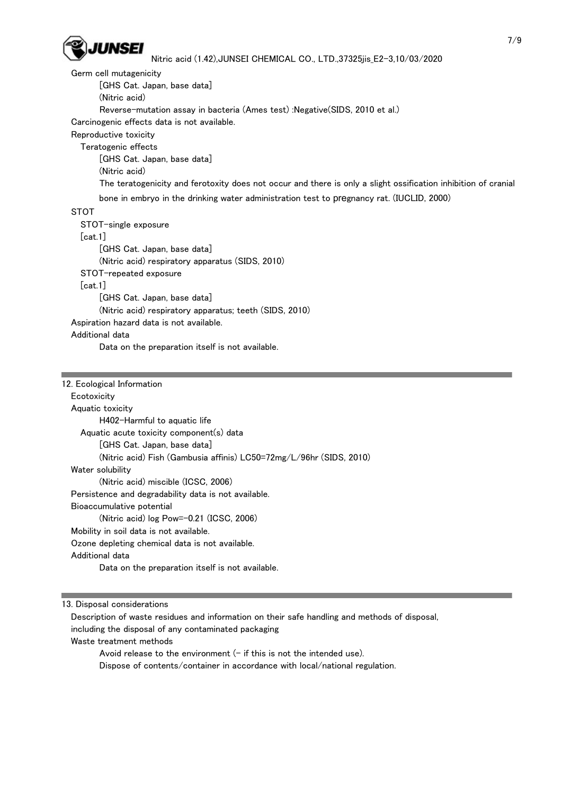

 Germ cell mutagenicity [GHS Cat. Japan, base data] (Nitric acid) Reverse-mutation assay in bacteria (Ames test) :Negative(SIDS, 2010 et al.) Carcinogenic effects data is not available. Reproductive toxicity Teratogenic effects [GHS Cat. Japan, base data] (Nitric acid) The teratogenicity and ferotoxity does not occur and there is only a slight ossification inhibition of cranial bone in embryo in the drinking water administration test to pregnancy rat. (IUCLID, 2000) **STOT**  STOT-single exposure [cat.1] [GHS Cat. Japan, base data] (Nitric acid) respiratory apparatus (SIDS, 2010) STOT-repeated exposure [cat.1] [GHS Cat. Japan, base data] (Nitric acid) respiratory apparatus; teeth (SIDS, 2010) Aspiration hazard data is not available. Additional data Data on the preparation itself is not available.

#### 12. Ecological Information

**Ecotoxicity**  Aquatic toxicity H402-Harmful to aquatic life Aquatic acute toxicity component(s) data [GHS Cat. Japan, base data] (Nitric acid) Fish (Gambusia affinis) LC50=72mg/L/96hr (SIDS, 2010) Water solubility (Nitric acid) miscible (ICSC, 2006) Persistence and degradability data is not available. Bioaccumulative potential (Nitric acid) log Pow=-0.21 (ICSC, 2006) Mobility in soil data is not available. Ozone depleting chemical data is not available. Additional data Data on the preparation itself is not available.

13. Disposal considerations

 Description of waste residues and information on their safe handling and methods of disposal, including the disposal of any contaminated packaging Waste treatment methods Avoid release to the environment  $(-$  if this is not the intended use).

Dispose of contents/container in accordance with local/national regulation.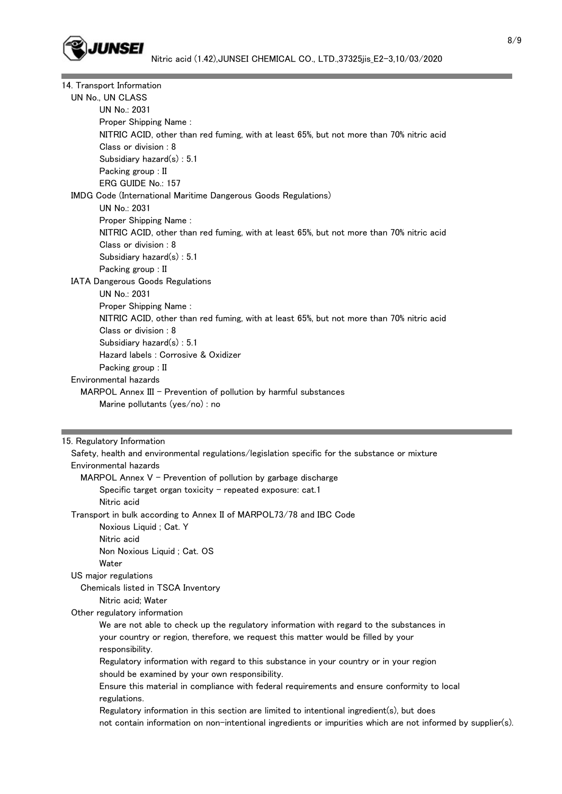

| 14. Transport Information                                                                |  |  |  |
|------------------------------------------------------------------------------------------|--|--|--|
| UN No., UN CLASS                                                                         |  |  |  |
| UN No.: 2031                                                                             |  |  |  |
| Proper Shipping Name:                                                                    |  |  |  |
| NITRIC ACID, other than red fuming, with at least 65%, but not more than 70% nitric acid |  |  |  |
| Class or division : 8                                                                    |  |  |  |
| Subsidiary hazard(s): 5.1                                                                |  |  |  |
| Packing group : II                                                                       |  |  |  |
| ERG GUIDE No.: 157                                                                       |  |  |  |
| IMDG Code (International Maritime Dangerous Goods Regulations)                           |  |  |  |
| UN No.: 2031                                                                             |  |  |  |
| Proper Shipping Name:                                                                    |  |  |  |
| NITRIC ACID, other than red fuming, with at least 65%, but not more than 70% nitric acid |  |  |  |
| Class or division: 8                                                                     |  |  |  |
| Subsidiary hazard $(s)$ : 5.1                                                            |  |  |  |
| Packing group : II                                                                       |  |  |  |
| IATA Dangerous Goods Regulations                                                         |  |  |  |
| UN No.: 2031                                                                             |  |  |  |
| Proper Shipping Name:                                                                    |  |  |  |
| NITRIC ACID, other than red fuming, with at least 65%, but not more than 70% nitric acid |  |  |  |
| Class or division: 8                                                                     |  |  |  |
| Subsidiary hazard $(s)$ : 5.1                                                            |  |  |  |
| Hazard labels : Corrosive & Oxidizer                                                     |  |  |  |
| Packing group : II                                                                       |  |  |  |
| Environmental hazards                                                                    |  |  |  |
| MARPOL Annex III $-$ Prevention of pollution by harmful substances                       |  |  |  |
| Marine pollutants (yes/no) : no                                                          |  |  |  |

#### 15. Regulatory Information

 Safety, health and environmental regulations/legislation specific for the substance or mixture Environmental hazards MARPOL Annex  $V$  - Prevention of pollution by garbage discharge Specific target organ toxicity  $-$  repeated exposure: cat.1 Nitric acid Transport in bulk according to Annex II of MARPOL73/78 and IBC Code Noxious Liquid ; Cat. Y Nitric acid Non Noxious Liquid ; Cat. OS Water US major regulations Chemicals listed in TSCA Inventory Nitric acid; Water Other regulatory information We are not able to check up the regulatory information with regard to the substances in your country or region, therefore, we request this matter would be filled by your responsibility. Regulatory information with regard to this substance in your country or in your region should be examined by your own responsibility. Ensure this material in compliance with federal requirements and ensure conformity to local regulations. Regulatory information in this section are limited to intentional ingredient(s), but does not contain information on non-intentional ingredients or impurities which are not informed by supplier(s).